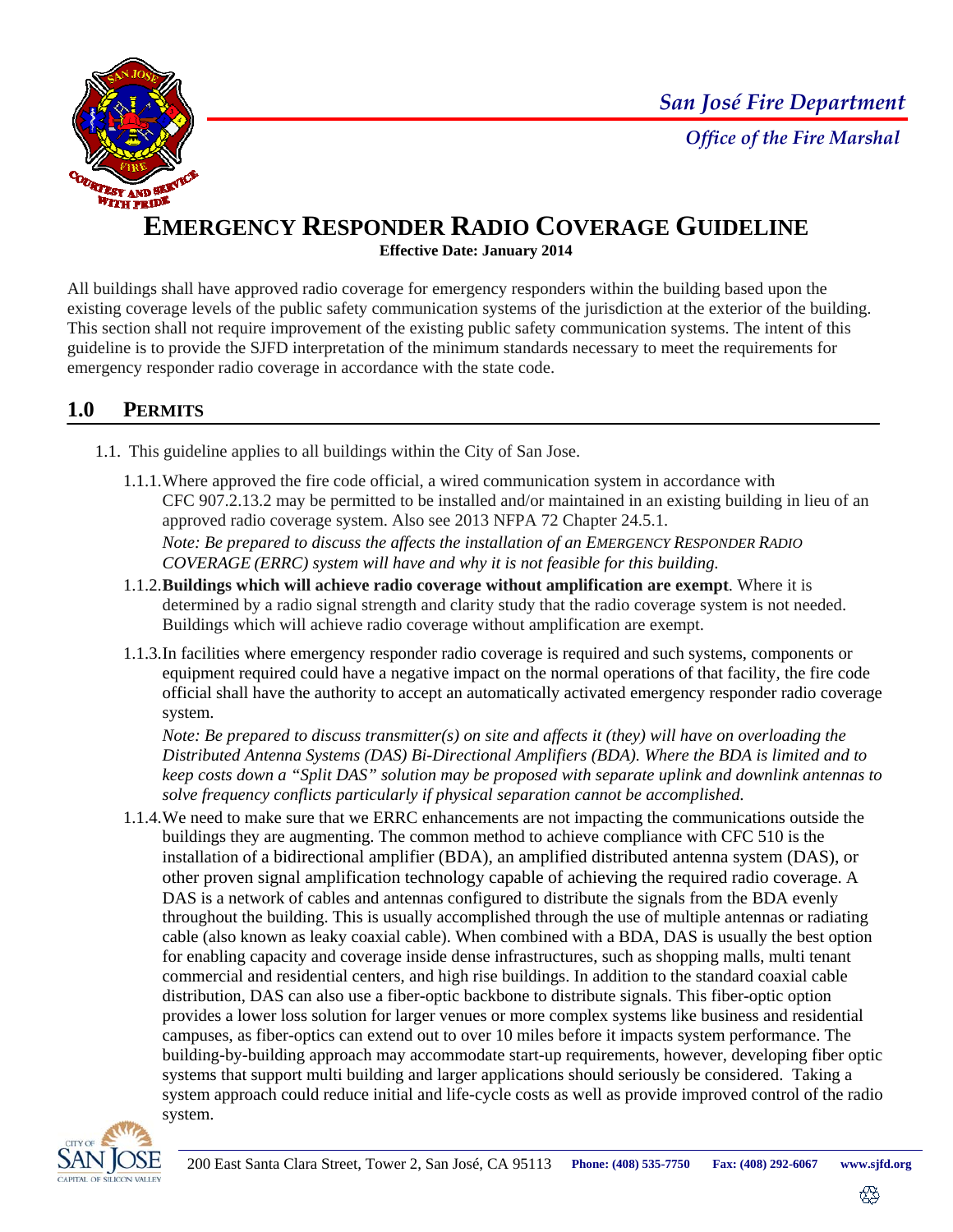*San José Fire Department*



# **EMERGENCY RESPONDER RADIO COVERAGE GUIDELINE**

**Effective Date: January 2014** 

All buildings shall have approved radio coverage for emergency responders within the building based upon the existing coverage levels of the public safety communication systems of the jurisdiction at the exterior of the building. This section shall not require improvement of the existing public safety communication systems. The intent of this guideline is to provide the SJFD interpretation of the minimum standards necessary to meet the requirements for emergency responder radio coverage in accordance with the state code.

# **1.0 PERMITS**

- 1.1. This guideline applies to all buildings within the City of San Jose.
	- 1.1.1.Where approved the fire code official, a wired communication system in accordance with CFC 907.2.13.2 may be permitted to be installed and/or maintained in an existing building in lieu of an approved radio coverage system. Also see 2013 NFPA 72 Chapter 24.5.1. *Note: Be prepared to discuss the affects the installation of an EMERGENCY RESPONDER RADIO COVERAGE (ERRC) system will have and why it is not feasible for this building.*
	- 1.1.2.**Buildings which will achieve radio coverage without amplification are exempt**. Where it is determined by a radio signal strength and clarity study that the radio coverage system is not needed. Buildings which will achieve radio coverage without amplification are exempt.
	- 1.1.3.In facilities where emergency responder radio coverage is required and such systems, components or equipment required could have a negative impact on the normal operations of that facility, the fire code official shall have the authority to accept an automatically activated emergency responder radio coverage system.

*Note: Be prepared to discuss transmitter(s) on site and affects it (they) will have on overloading the Distributed Antenna Systems (DAS) Bi-Directional Amplifiers (BDA). Where the BDA is limited and to keep costs down a "Split DAS" solution may be proposed with separate uplink and downlink antennas to solve frequency conflicts particularly if physical separation cannot be accomplished.* 

1.1.4.We need to make sure that we ERRC enhancements are not impacting the communications outside the buildings they are augmenting. The common method to achieve compliance with CFC 510 is the installation of a bidirectional amplifier (BDA), an amplified distributed antenna system (DAS), or other proven signal amplification technology capable of achieving the required radio coverage. A DAS is a network of cables and antennas configured to distribute the signals from the BDA evenly throughout the building. This is usually accomplished through the use of multiple antennas or radiating cable (also known as leaky coaxial cable). When combined with a BDA, DAS is usually the best option for enabling capacity and coverage inside dense infrastructures, such as shopping malls, multi tenant commercial and residential centers, and high rise buildings. In addition to the standard coaxial cable distribution, DAS can also use a fiber-optic backbone to distribute signals. This fiber-optic option provides a lower loss solution for larger venues or more complex systems like business and residential campuses, as fiber-optics can extend out to over 10 miles before it impacts system performance. The building-by-building approach may accommodate start-up requirements, however, developing fiber optic systems that support multi building and larger applications should seriously be considered. Taking a system approach could reduce initial and life-cycle costs as well as provide improved control of the radio system.



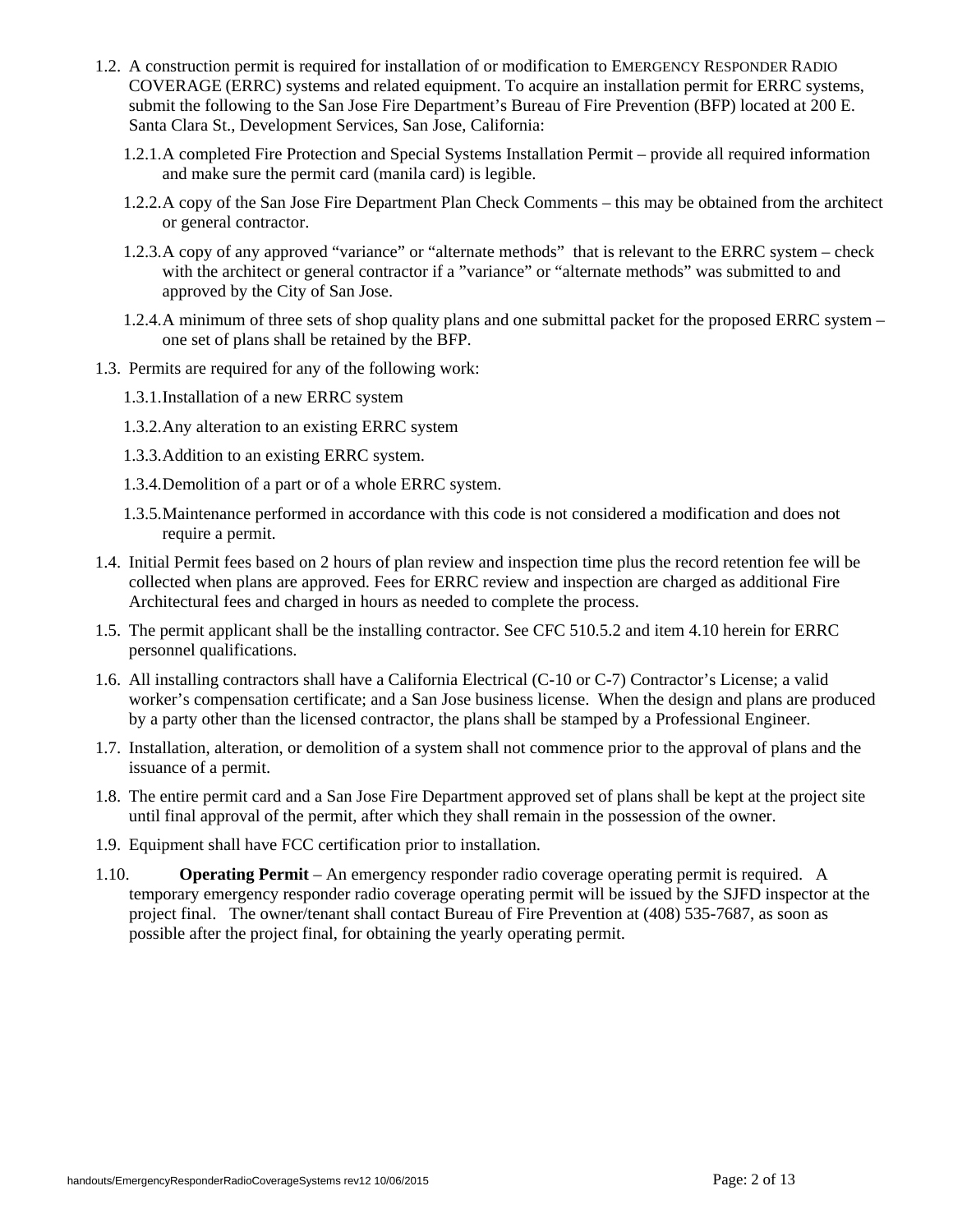- 1.2. A construction permit is required for installation of or modification to EMERGENCY RESPONDER RADIO COVERAGE (ERRC) systems and related equipment. To acquire an installation permit for ERRC systems, submit the following to the San Jose Fire Department's Bureau of Fire Prevention (BFP) located at 200 E. Santa Clara St., Development Services, San Jose, California:
	- 1.2.1.A completed Fire Protection and Special Systems Installation Permit provide all required information and make sure the permit card (manila card) is legible.
	- 1.2.2.A copy of the San Jose Fire Department Plan Check Comments this may be obtained from the architect or general contractor.
	- 1.2.3.A copy of any approved "variance" or "alternate methods" that is relevant to the ERRC system check with the architect or general contractor if a "variance" or "alternate methods" was submitted to and approved by the City of San Jose.
	- 1.2.4.A minimum of three sets of shop quality plans and one submittal packet for the proposed ERRC system one set of plans shall be retained by the BFP.
- 1.3. Permits are required for any of the following work:
	- 1.3.1.Installation of a new ERRC system
	- 1.3.2.Any alteration to an existing ERRC system
	- 1.3.3.Addition to an existing ERRC system.
	- 1.3.4.Demolition of a part or of a whole ERRC system.
	- 1.3.5.Maintenance performed in accordance with this code is not considered a modification and does not require a permit.
- 1.4. Initial Permit fees based on 2 hours of plan review and inspection time plus the record retention fee will be collected when plans are approved. Fees for ERRC review and inspection are charged as additional Fire Architectural fees and charged in hours as needed to complete the process.
- 1.5. The permit applicant shall be the installing contractor. See CFC 510.5.2 and item 4.10 herein for ERRC personnel qualifications.
- 1.6. All installing contractors shall have a California Electrical (C-10 or C-7) Contractor's License; a valid worker's compensation certificate; and a San Jose business license. When the design and plans are produced by a party other than the licensed contractor, the plans shall be stamped by a Professional Engineer.
- 1.7. Installation, alteration, or demolition of a system shall not commence prior to the approval of plans and the issuance of a permit.
- 1.8. The entire permit card and a San Jose Fire Department approved set of plans shall be kept at the project site until final approval of the permit, after which they shall remain in the possession of the owner.
- 1.9. Equipment shall have FCC certification prior to installation.
- 1.10. **Operating Permit** An emergency responder radio coverage operating permit is required. A temporary emergency responder radio coverage operating permit will be issued by the SJFD inspector at the project final. The owner/tenant shall contact Bureau of Fire Prevention at (408) 535-7687, as soon as possible after the project final, for obtaining the yearly operating permit.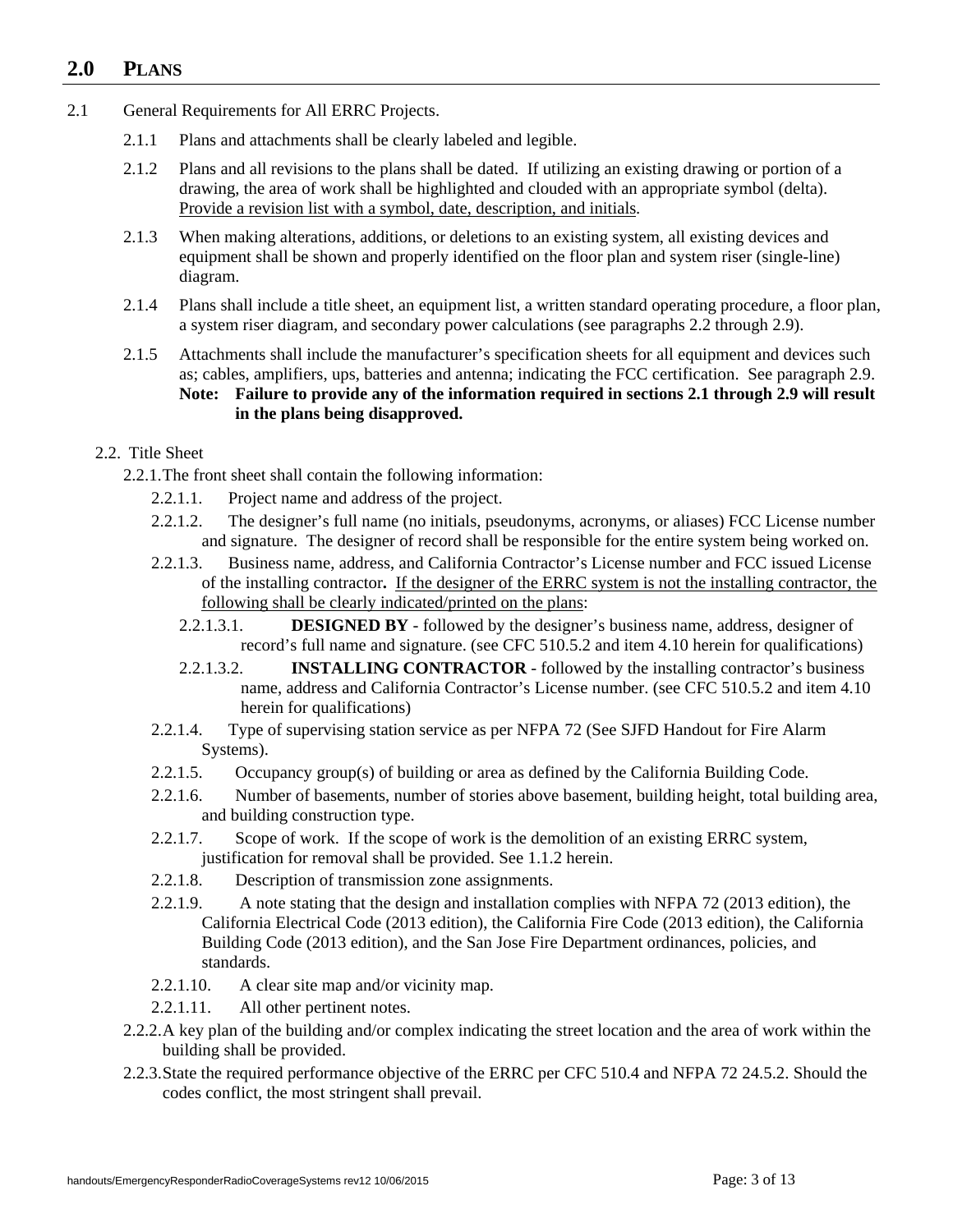## **2.0 PLANS**

- 2.1 General Requirements for All ERRC Projects.
	- 2.1.1 Plans and attachments shall be clearly labeled and legible.
	- 2.1.2 Plans and all revisions to the plans shall be dated. If utilizing an existing drawing or portion of a drawing, the area of work shall be highlighted and clouded with an appropriate symbol (delta). Provide a revision list with a symbol, date, description, and initials.
	- 2.1.3 When making alterations, additions, or deletions to an existing system, all existing devices and equipment shall be shown and properly identified on the floor plan and system riser (single-line) diagram.
	- 2.1.4 Plans shall include a title sheet, an equipment list, a written standard operating procedure, a floor plan, a system riser diagram, and secondary power calculations (see paragraphs 2.2 through 2.9).
	- 2.1.5 Attachments shall include the manufacturer's specification sheets for all equipment and devices such as; cables, amplifiers, ups, batteries and antenna; indicating the FCC certification. See paragraph 2.9. **Note: Failure to provide any of the information required in sections 2.1 through 2.9 will result in the plans being disapproved.**

#### 2.2. Title Sheet

2.2.1.The front sheet shall contain the following information:

- 2.2.1.1. Project name and address of the project.
- 2.2.1.2. The designer's full name (no initials, pseudonyms, acronyms, or aliases) FCC License number and signature. The designer of record shall be responsible for the entire system being worked on.
- 2.2.1.3. Business name, address, and California Contractor's License number and FCC issued License of the installing contractor**.** If the designer of the ERRC system is not the installing contractor, the following shall be clearly indicated/printed on the plans:
	- 2.2.1.3.1. **DESIGNED BY** followed by the designer's business name, address, designer of record's full name and signature. (see CFC 510.5.2 and item 4.10 herein for qualifications)
	- 2.2.1.3.2. **INSTALLING CONTRACTOR** followed by the installing contractor's business name, address and California Contractor's License number. (see CFC 510.5.2 and item 4.10 herein for qualifications)
- 2.2.1.4. Type of supervising station service as per NFPA 72 (See SJFD Handout for Fire Alarm Systems).
- 2.2.1.5. Occupancy group(s) of building or area as defined by the California Building Code.
- 2.2.1.6. Number of basements, number of stories above basement, building height, total building area, and building construction type.
- 2.2.1.7. Scope of work. If the scope of work is the demolition of an existing ERRC system, justification for removal shall be provided. See 1.1.2 herein.
- 2.2.1.8. Description of transmission zone assignments.
- 2.2.1.9. A note stating that the design and installation complies with NFPA 72 (2013 edition), the California Electrical Code (2013 edition), the California Fire Code (2013 edition), the California Building Code (2013 edition), and the San Jose Fire Department ordinances, policies, and standards.
- 2.2.1.10. A clear site map and/or vicinity map.
- 2.2.1.11. All other pertinent notes.
- 2.2.2.A key plan of the building and/or complex indicating the street location and the area of work within the building shall be provided.
- 2.2.3.State the required performance objective of the ERRC per CFC 510.4 and NFPA 72 24.5.2. Should the codes conflict, the most stringent shall prevail.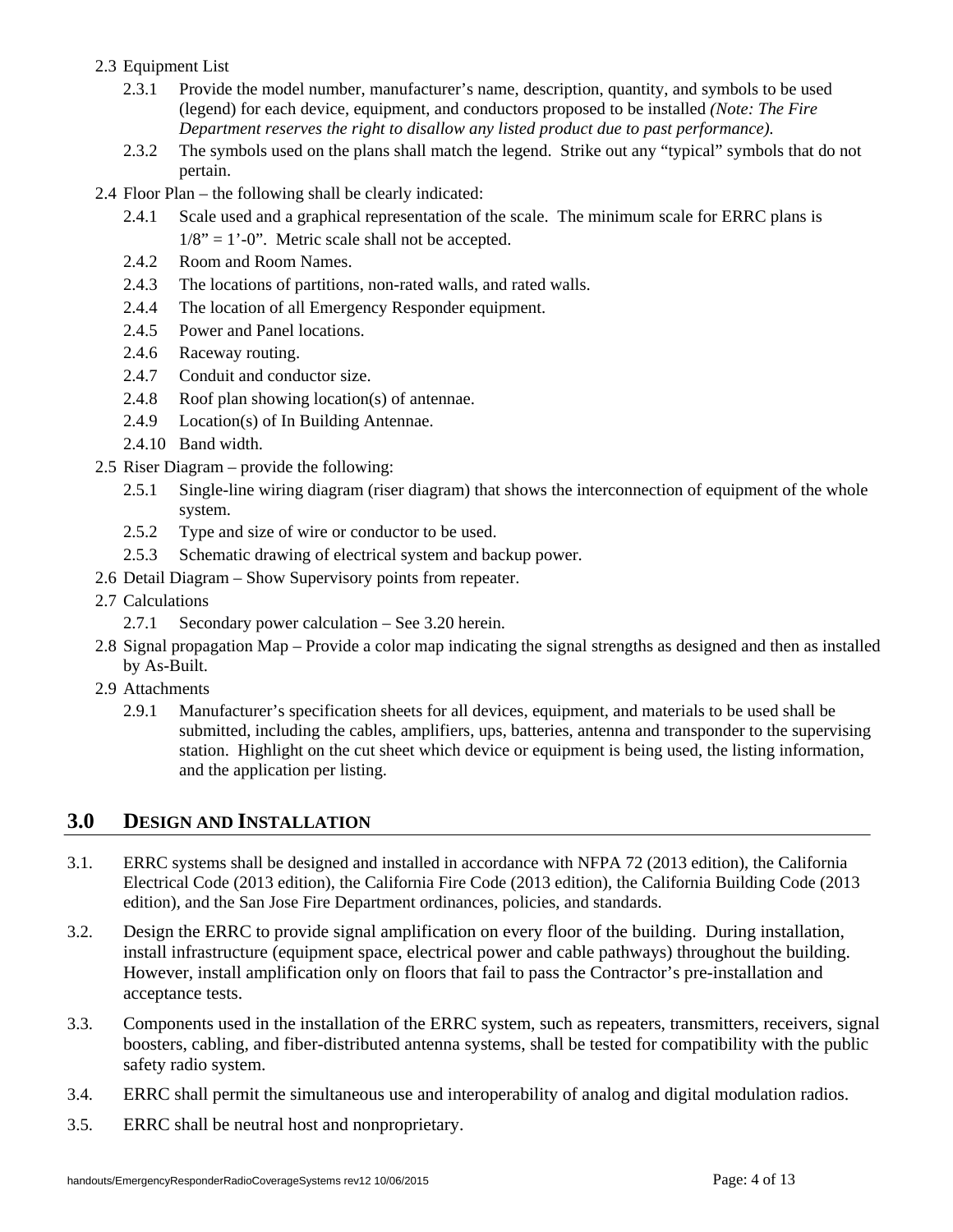## 2.3 Equipment List

- 2.3.1 Provide the model number, manufacturer's name, description, quantity, and symbols to be used (legend) for each device, equipment, and conductors proposed to be installed *(Note: The Fire Department reserves the right to disallow any listed product due to past performance).*
- 2.3.2 The symbols used on the plans shall match the legend. Strike out any "typical" symbols that do not pertain.
- 2.4 Floor Plan the following shall be clearly indicated:
	- 2.4.1 Scale used and a graphical representation of the scale. The minimum scale for ERRC plans is  $1/8$ " = 1'-0". Metric scale shall not be accepted.
	- 2.4.2 Room and Room Names.
	- 2.4.3 The locations of partitions, non-rated walls, and rated walls.
	- 2.4.4 The location of all Emergency Responder equipment.
	- 2.4.5 Power and Panel locations.
	- 2.4.6 Raceway routing.
	- 2.4.7 Conduit and conductor size.
	- 2.4.8 Roof plan showing location(s) of antennae.
	- 2.4.9 Location(s) of In Building Antennae.
	- 2.4.10 Band width.
- 2.5 Riser Diagram provide the following:
	- 2.5.1 Single-line wiring diagram (riser diagram) that shows the interconnection of equipment of the whole system.
	- 2.5.2 Type and size of wire or conductor to be used.
	- 2.5.3 Schematic drawing of electrical system and backup power.
- 2.6 Detail Diagram Show Supervisory points from repeater.
- 2.7 Calculations
	- 2.7.1 Secondary power calculation See 3.20 herein.
- 2.8 Signal propagation Map Provide a color map indicating the signal strengths as designed and then as installed by As-Built.
- 2.9 Attachments
	- 2.9.1 Manufacturer's specification sheets for all devices, equipment, and materials to be used shall be submitted, including the cables, amplifiers, ups, batteries, antenna and transponder to the supervising station. Highlight on the cut sheet which device or equipment is being used, the listing information, and the application per listing.

## **3.0 DESIGN AND INSTALLATION**

- 3.1. ERRC systems shall be designed and installed in accordance with NFPA 72 (2013 edition), the California Electrical Code (2013 edition), the California Fire Code (2013 edition), the California Building Code (2013 edition), and the San Jose Fire Department ordinances, policies, and standards.
- 3.2. Design the ERRC to provide signal amplification on every floor of the building. During installation, install infrastructure (equipment space, electrical power and cable pathways) throughout the building. However, install amplification only on floors that fail to pass the Contractor's pre-installation and acceptance tests.
- 3.3. Components used in the installation of the ERRC system, such as repeaters, transmitters, receivers, signal boosters, cabling, and fiber-distributed antenna systems, shall be tested for compatibility with the public safety radio system.
- 3.4. ERRC shall permit the simultaneous use and interoperability of analog and digital modulation radios.
- 3.5. ERRC shall be neutral host and nonproprietary.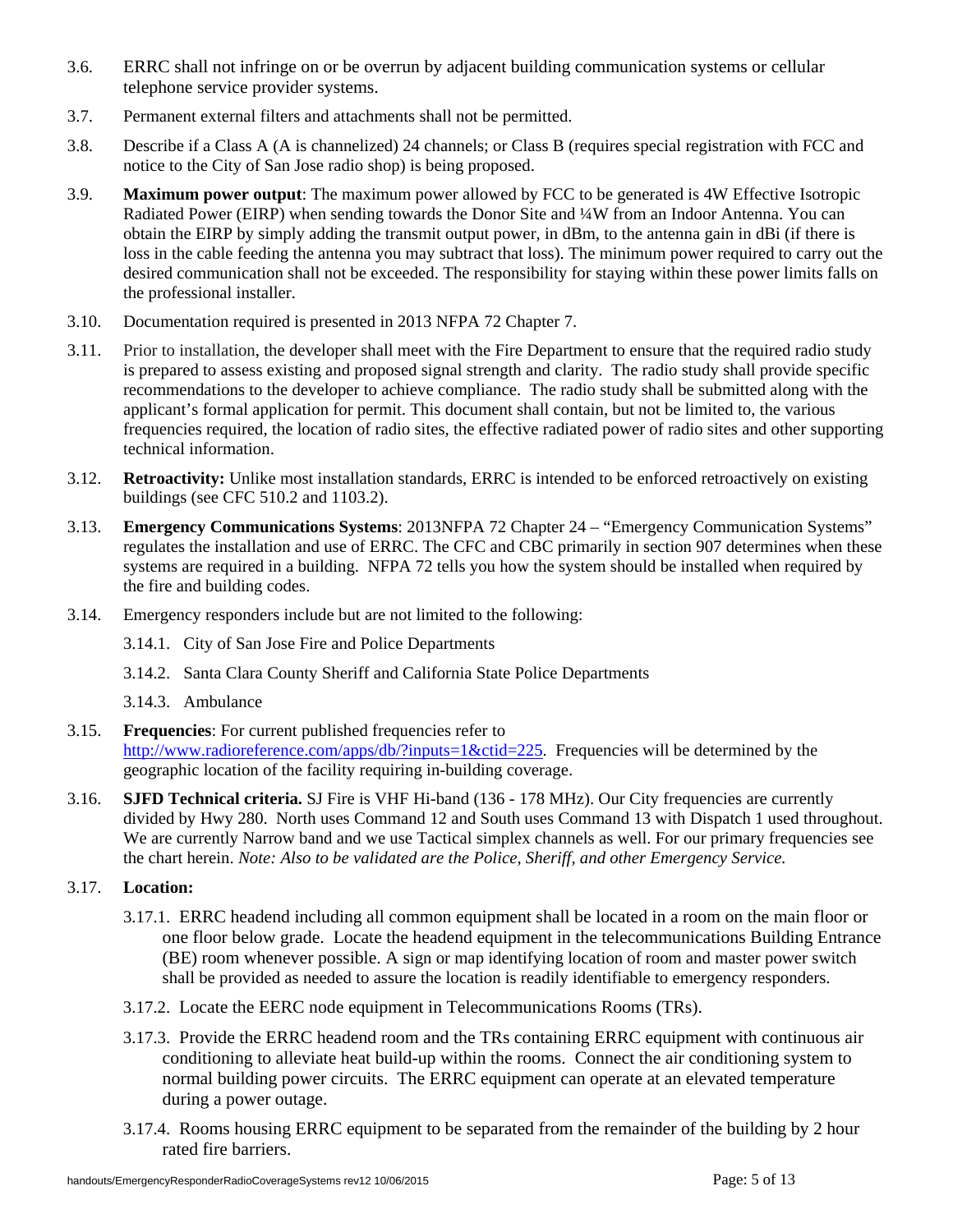- 3.6. ERRC shall not infringe on or be overrun by adjacent building communication systems or cellular telephone service provider systems.
- 3.7. Permanent external filters and attachments shall not be permitted.
- 3.8. Describe if a Class A (A is channelized) 24 channels; or Class B (requires special registration with FCC and notice to the City of San Jose radio shop) is being proposed.
- 3.9. **Maximum power output**: The maximum power allowed by FCC to be generated is 4W Effective Isotropic Radiated Power (EIRP) when sending towards the Donor Site and ¼W from an Indoor Antenna. You can obtain the EIRP by simply adding the transmit output power, in dBm, to the antenna gain in dBi (if there is loss in the cable feeding the antenna you may subtract that loss). The minimum power required to carry out the desired communication shall not be exceeded. The responsibility for staying within these power limits falls on the professional installer.
- 3.10. Documentation required is presented in 2013 NFPA 72 Chapter 7.
- 3.11. Prior to installation, the developer shall meet with the Fire Department to ensure that the required radio study is prepared to assess existing and proposed signal strength and clarity. The radio study shall provide specific recommendations to the developer to achieve compliance. The radio study shall be submitted along with the applicant's formal application for permit. This document shall contain, but not be limited to, the various frequencies required, the location of radio sites, the effective radiated power of radio sites and other supporting technical information.
- 3.12. **Retroactivity:** Unlike most installation standards, ERRC is intended to be enforced retroactively on existing buildings (see CFC 510.2 and 1103.2).
- 3.13. **Emergency Communications Systems**: 2013NFPA 72 Chapter 24 "Emergency Communication Systems" regulates the installation and use of ERRC. The CFC and CBC primarily in section 907 determines when these systems are required in a building. NFPA 72 tells you how the system should be installed when required by the fire and building codes.
- 3.14. Emergency responders include but are not limited to the following:
	- 3.14.1. City of San Jose Fire and Police Departments
	- 3.14.2. Santa Clara County Sheriff and California State Police Departments
	- 3.14.3. Ambulance
- 3.15. **Frequencies**: For current published frequencies refer to [http://www.radioreference.com/apps/db/?inputs=1&ctid=225.](http://www.radioreference.com/apps/db/?inputs=1&ctid=225) Frequencies will be determined by the geographic location of the facility requiring in-building coverage.
- 3.16. **SJFD Technical criteria.** SJ Fire is VHF Hi-band (136 178 MHz). Our City frequencies are currently divided by Hwy 280. North uses Command 12 and South uses Command 13 with Dispatch 1 used throughout. We are currently Narrow band and we use Tactical simplex channels as well. For our primary frequencies see the chart herein. *Note: Also to be validated are the Police, Sheriff, and other Emergency Service.*

## 3.17. **Location:**

- 3.17.1. ERRC headend including all common equipment shall be located in a room on the main floor or one floor below grade. Locate the headend equipment in the telecommunications Building Entrance (BE) room whenever possible. A sign or map identifying location of room and master power switch shall be provided as needed to assure the location is readily identifiable to emergency responders.
- 3.17.2. Locate the EERC node equipment in Telecommunications Rooms (TRs).
- 3.17.3. Provide the ERRC headend room and the TRs containing ERRC equipment with continuous air conditioning to alleviate heat build-up within the rooms. Connect the air conditioning system to normal building power circuits. The ERRC equipment can operate at an elevated temperature during a power outage.
- 3.17.4. Rooms housing ERRC equipment to be separated from the remainder of the building by 2 hour rated fire barriers.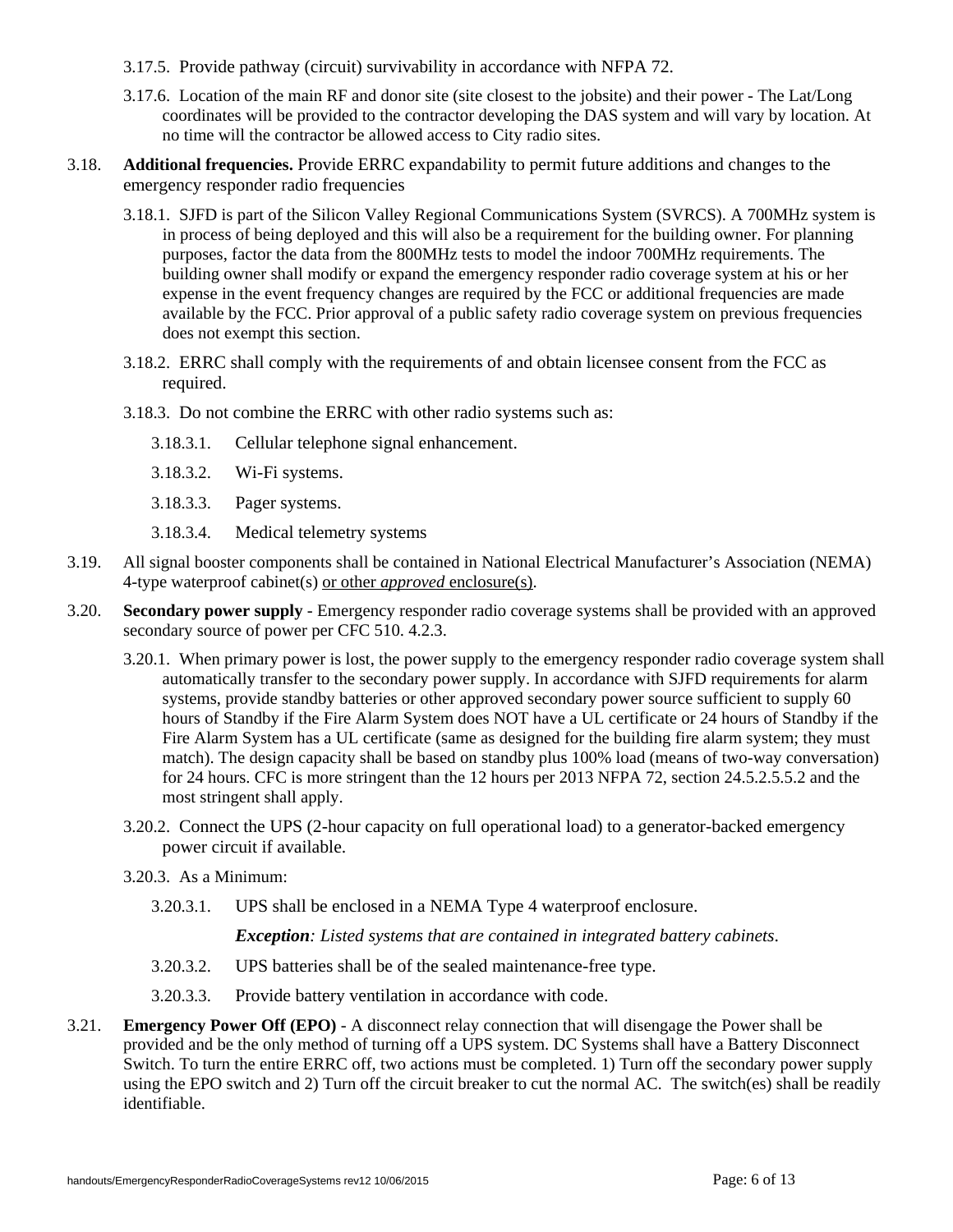- 3.17.5. Provide pathway (circuit) survivability in accordance with NFPA 72.
- 3.17.6. Location of the main RF and donor site (site closest to the jobsite) and their power The Lat/Long coordinates will be provided to the contractor developing the DAS system and will vary by location. At no time will the contractor be allowed access to City radio sites.
- 3.18. **Additional frequencies.** Provide ERRC expandability to permit future additions and changes to the emergency responder radio frequencies
	- 3.18.1. SJFD is part of the Silicon Valley Regional Communications System (SVRCS). A 700MHz system is in process of being deployed and this will also be a requirement for the building owner. For planning purposes, factor the data from the 800MHz tests to model the indoor 700MHz requirements. The building owner shall modify or expand the emergency responder radio coverage system at his or her expense in the event frequency changes are required by the FCC or additional frequencies are made available by the FCC. Prior approval of a public safety radio coverage system on previous frequencies does not exempt this section.
	- 3.18.2. ERRC shall comply with the requirements of and obtain licensee consent from the FCC as required.
	- 3.18.3. Do not combine the ERRC with other radio systems such as:
		- 3.18.3.1. Cellular telephone signal enhancement.
		- 3.18.3.2. Wi-Fi systems.
		- 3.18.3.3. Pager systems.
		- 3.18.3.4. Medical telemetry systems
- 3.19. All signal booster components shall be contained in National Electrical Manufacturer's Association (NEMA) 4-type waterproof cabinet(s) or other *approved* enclosure(s).
- 3.20. **Secondary power supply** Emergency responder radio coverage systems shall be provided with an approved secondary source of power per CFC 510. 4.2.3.
	- 3.20.1. When primary power is lost, the power supply to the emergency responder radio coverage system shall automatically transfer to the secondary power supply. In accordance with SJFD requirements for alarm systems, provide standby batteries or other approved secondary power source sufficient to supply 60 hours of Standby if the Fire Alarm System does NOT have a UL certificate or 24 hours of Standby if the Fire Alarm System has a UL certificate (same as designed for the building fire alarm system; they must match). The design capacity shall be based on standby plus 100% load (means of two-way conversation) for 24 hours. CFC is more stringent than the 12 hours per 2013 NFPA 72, section 24.5.2.5.5.2 and the most stringent shall apply.
	- 3.20.2. Connect the UPS (2-hour capacity on full operational load) to a generator-backed emergency power circuit if available.
	- 3.20.3. As a Minimum:
		- 3.20.3.1. UPS shall be enclosed in a NEMA Type 4 waterproof enclosure.

*Exception: Listed systems that are contained in integrated battery cabinets*.

- 3.20.3.2. UPS batteries shall be of the sealed maintenance-free type.
- 3.20.3.3. Provide battery ventilation in accordance with code.
- 3.21. **Emergency Power Off (EPO)** A disconnect relay connection that will disengage the Power shall be provided and be the only method of turning off a UPS system. DC Systems shall have a Battery Disconnect Switch. To turn the entire ERRC off, two actions must be completed. 1) Turn off the secondary power supply using the EPO switch and 2) Turn off the circuit breaker to cut the normal AC. The switch(es) shall be readily identifiable.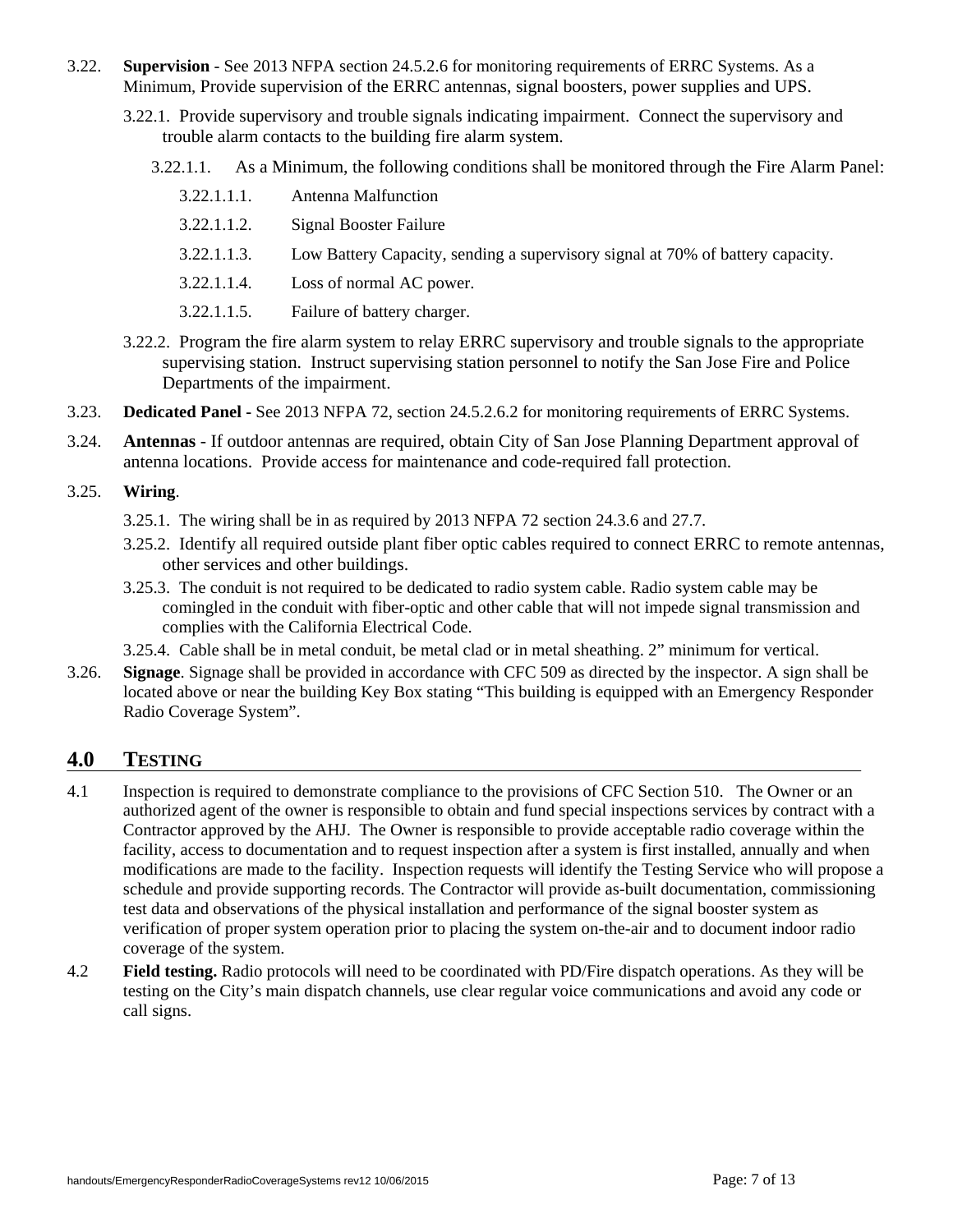- 3.22. **Supervision**  See 2013 NFPA section 24.5.2.6 for monitoring requirements of ERRC Systems. As a Minimum, Provide supervision of the ERRC antennas, signal boosters, power supplies and UPS.
	- 3.22.1. Provide supervisory and trouble signals indicating impairment. Connect the supervisory and trouble alarm contacts to the building fire alarm system.
		- 3.22.1.1. As a Minimum, the following conditions shall be monitored through the Fire Alarm Panel:

- 3.22.1.1.2. Signal Booster Failure
- 3.22.1.1.3. Low Battery Capacity, sending a supervisory signal at 70% of battery capacity.
- 3.22.1.1.4. Loss of normal AC power.
- 3.22.1.1.5. Failure of battery charger.
- 3.22.2. Program the fire alarm system to relay ERRC supervisory and trouble signals to the appropriate supervising station. Instruct supervising station personnel to notify the San Jose Fire and Police Departments of the impairment.
- 3.23. **Dedicated Panel -** See 2013 NFPA 72, section 24.5.2.6.2 for monitoring requirements of ERRC Systems.
- 3.24. **Antennas** If outdoor antennas are required, obtain City of San Jose Planning Department approval of antenna locations. Provide access for maintenance and code-required fall protection.

#### 3.25. **Wiring**.

- 3.25.1. The wiring shall be in as required by 2013 NFPA 72 section 24.3.6 and 27.7.
- 3.25.2. Identify all required outside plant fiber optic cables required to connect ERRC to remote antennas, other services and other buildings.
- 3.25.3. The conduit is not required to be dedicated to radio system cable. Radio system cable may be comingled in the conduit with fiber-optic and other cable that will not impede signal transmission and complies with the California Electrical Code.
- 3.25.4. Cable shall be in metal conduit, be metal clad or in metal sheathing. 2" minimum for vertical.
- 3.26. **Signage**. Signage shall be provided in accordance with CFC 509 as directed by the inspector. A sign shall be located above or near the building Key Box stating "This building is equipped with an Emergency Responder Radio Coverage System".

## **4.0 TESTING**

- 4.1 Inspection is required to demonstrate compliance to the provisions of CFC Section 510. The Owner or an authorized agent of the owner is responsible to obtain and fund special inspections services by contract with a Contractor approved by the AHJ. The Owner is responsible to provide acceptable radio coverage within the facility, access to documentation and to request inspection after a system is first installed, annually and when modifications are made to the facility. Inspection requests will identify the Testing Service who will propose a schedule and provide supporting records. The Contractor will provide as-built documentation, commissioning test data and observations of the physical installation and performance of the signal booster system as verification of proper system operation prior to placing the system on-the-air and to document indoor radio coverage of the system.
- 4.2 **Field testing.** Radio protocols will need to be coordinated with PD/Fire dispatch operations. As they will be testing on the City's main dispatch channels, use clear regular voice communications and avoid any code or call signs.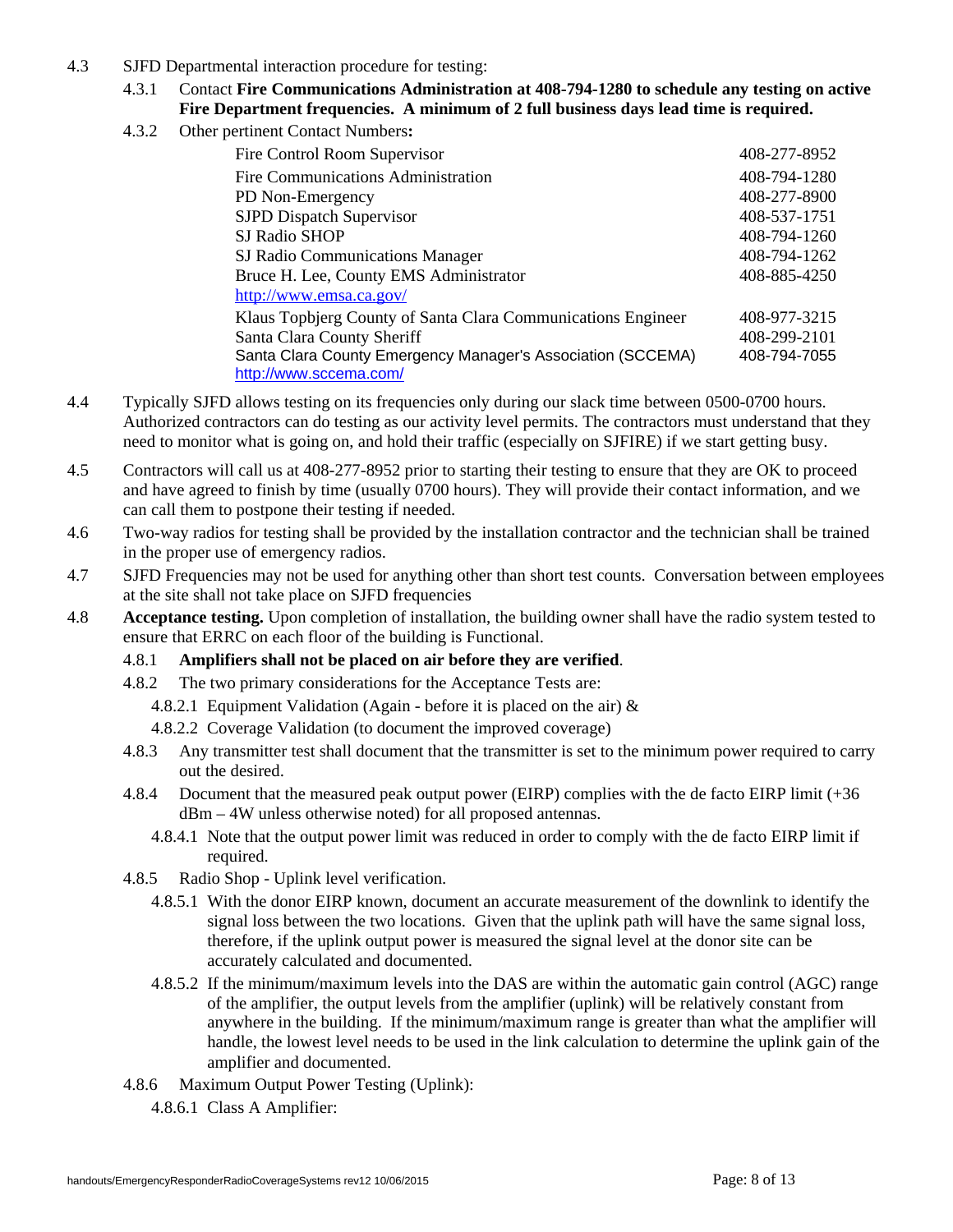- 4.3 SJFD Departmental interaction procedure for testing:
	- 4.3.1 Contact **Fire Communications Administration at 408-794-1280 to schedule any testing on active Fire Department frequencies. A minimum of 2 full business days lead time is required.**
	- 4.3.2 Other pertinent Contact Numbers**:**

| Fire Control Room Supervisor                                 | 408-277-8952 |
|--------------------------------------------------------------|--------------|
| Fire Communications Administration                           | 408-794-1280 |
| PD Non-Emergency                                             | 408-277-8900 |
| <b>SJPD</b> Dispatch Supervisor                              | 408-537-1751 |
| SJ Radio SHOP                                                | 408-794-1260 |
| SJ Radio Communications Manager                              | 408-794-1262 |
| Bruce H. Lee, County EMS Administrator                       | 408-885-4250 |
| http://www.emsa.ca.gov/                                      |              |
| Klaus Topbjerg County of Santa Clara Communications Engineer | 408-977-3215 |
| Santa Clara County Sheriff                                   | 408-299-2101 |
| Santa Clara County Emergency Manager's Association (SCCEMA)  | 408-794-7055 |
| http://www.sccema.com/                                       |              |

- 4.4 Typically SJFD allows testing on its frequencies only during our slack time between 0500-0700 hours. Authorized contractors can do testing as our activity level permits. The contractors must understand that they need to monitor what is going on, and hold their traffic (especially on SJFIRE) if we start getting busy.
- 4.5 Contractors will call us at 408-277-8952 prior to starting their testing to ensure that they are OK to proceed and have agreed to finish by time (usually 0700 hours). They will provide their contact information, and we can call them to postpone their testing if needed.
- 4.6 Two-way radios for testing shall be provided by the installation contractor and the technician shall be trained in the proper use of emergency radios.
- 4.7 SJFD Frequencies may not be used for anything other than short test counts. Conversation between employees at the site shall not take place on SJFD frequencies
- 4.8 **Acceptance testing.** Upon completion of installation, the building owner shall have the radio system tested to ensure that ERRC on each floor of the building is Functional.
	- 4.8.1 **Amplifiers shall not be placed on air before they are verified**.
	- 4.8.2 The two primary considerations for the Acceptance Tests are:
		- 4.8.2.1 Equipment Validation (Again before it is placed on the air) &
		- 4.8.2.2 Coverage Validation (to document the improved coverage)
	- 4.8.3 Any transmitter test shall document that the transmitter is set to the minimum power required to carry out the desired.
	- 4.8.4 Document that the measured peak output power (EIRP) complies with the de facto EIRP limit (+36 dBm – 4W unless otherwise noted) for all proposed antennas.
		- 4.8.4.1 Note that the output power limit was reduced in order to comply with the de facto EIRP limit if required.
	- 4.8.5 Radio Shop Uplink level verification.
		- 4.8.5.1 With the donor EIRP known, document an accurate measurement of the downlink to identify the signal loss between the two locations. Given that the uplink path will have the same signal loss, therefore, if the uplink output power is measured the signal level at the donor site can be accurately calculated and documented.
		- 4.8.5.2 If the minimum/maximum levels into the DAS are within the automatic gain control (AGC) range of the amplifier, the output levels from the amplifier (uplink) will be relatively constant from anywhere in the building. If the minimum/maximum range is greater than what the amplifier will handle, the lowest level needs to be used in the link calculation to determine the uplink gain of the amplifier and documented.
	- 4.8.6 Maximum Output Power Testing (Uplink):
		- 4.8.6.1 Class A Amplifier: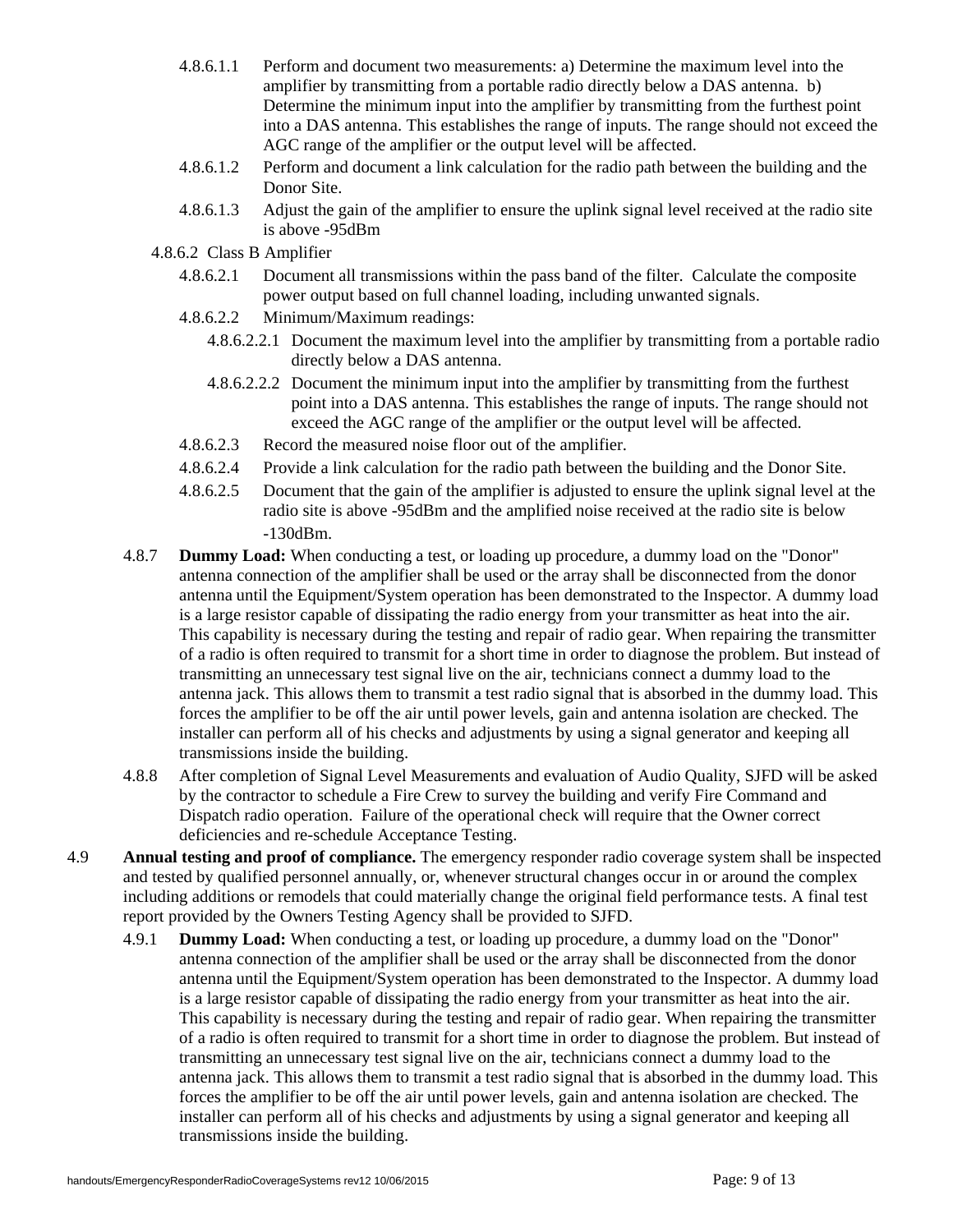- 4.8.6.1.1 Perform and document two measurements: a) Determine the maximum level into the amplifier by transmitting from a portable radio directly below a DAS antenna. b) Determine the minimum input into the amplifier by transmitting from the furthest point into a DAS antenna. This establishes the range of inputs. The range should not exceed the AGC range of the amplifier or the output level will be affected.
- 4.8.6.1.2 Perform and document a link calculation for the radio path between the building and the Donor Site.
- 4.8.6.1.3 Adjust the gain of the amplifier to ensure the uplink signal level received at the radio site is above -95dBm
- 4.8.6.2 Class B Amplifier
	- 4.8.6.2.1 Document all transmissions within the pass band of the filter. Calculate the composite power output based on full channel loading, including unwanted signals.
	- 4.8.6.2.2 Minimum/Maximum readings:
		- 4.8.6.2.2.1 Document the maximum level into the amplifier by transmitting from a portable radio directly below a DAS antenna.
		- 4.8.6.2.2.2 Document the minimum input into the amplifier by transmitting from the furthest point into a DAS antenna. This establishes the range of inputs. The range should not exceed the AGC range of the amplifier or the output level will be affected.
	- 4.8.6.2.3 Record the measured noise floor out of the amplifier.
	- 4.8.6.2.4 Provide a link calculation for the radio path between the building and the Donor Site.
	- 4.8.6.2.5 Document that the gain of the amplifier is adjusted to ensure the uplink signal level at the radio site is above -95dBm and the amplified noise received at the radio site is below -130dBm.
- 4.8.7 **Dummy Load:** When conducting a test, or loading up procedure, a dummy load on the "Donor" antenna connection of the amplifier shall be used or the array shall be disconnected from the donor antenna until the Equipment/System operation has been demonstrated to the Inspector. A dummy load is a large resistor capable of dissipating the radio energy from your transmitter as heat into the air. This capability is necessary during the testing and repair of radio gear. When repairing the transmitter of a radio is often required to transmit for a short time in order to diagnose the problem. But instead of transmitting an unnecessary test signal live on the air, technicians connect a dummy load to the antenna jack. This allows them to transmit a test radio signal that is absorbed in the dummy load. This forces the amplifier to be off the air until power levels, gain and antenna isolation are checked. The installer can perform all of his checks and adjustments by using a signal generator and keeping all transmissions inside the building.
- 4.8.8 After completion of Signal Level Measurements and evaluation of Audio Quality, SJFD will be asked by the contractor to schedule a Fire Crew to survey the building and verify Fire Command and Dispatch radio operation. Failure of the operational check will require that the Owner correct deficiencies and re-schedule Acceptance Testing.
- 4.9 **Annual testing and proof of compliance.** The emergency responder radio coverage system shall be inspected and tested by qualified personnel annually, or, whenever structural changes occur in or around the complex including additions or remodels that could materially change the original field performance tests. A final test report provided by the Owners Testing Agency shall be provided to SJFD.
	- 4.9.1 **Dummy Load:** When conducting a test, or loading up procedure, a dummy load on the "Donor" antenna connection of the amplifier shall be used or the array shall be disconnected from the donor antenna until the Equipment/System operation has been demonstrated to the Inspector. A dummy load is a large resistor capable of dissipating the radio energy from your transmitter as heat into the air. This capability is necessary during the testing and repair of radio gear. When repairing the transmitter of a radio is often required to transmit for a short time in order to diagnose the problem. But instead of transmitting an unnecessary test signal live on the air, technicians connect a dummy load to the antenna jack. This allows them to transmit a test radio signal that is absorbed in the dummy load. This forces the amplifier to be off the air until power levels, gain and antenna isolation are checked. The installer can perform all of his checks and adjustments by using a signal generator and keeping all transmissions inside the building.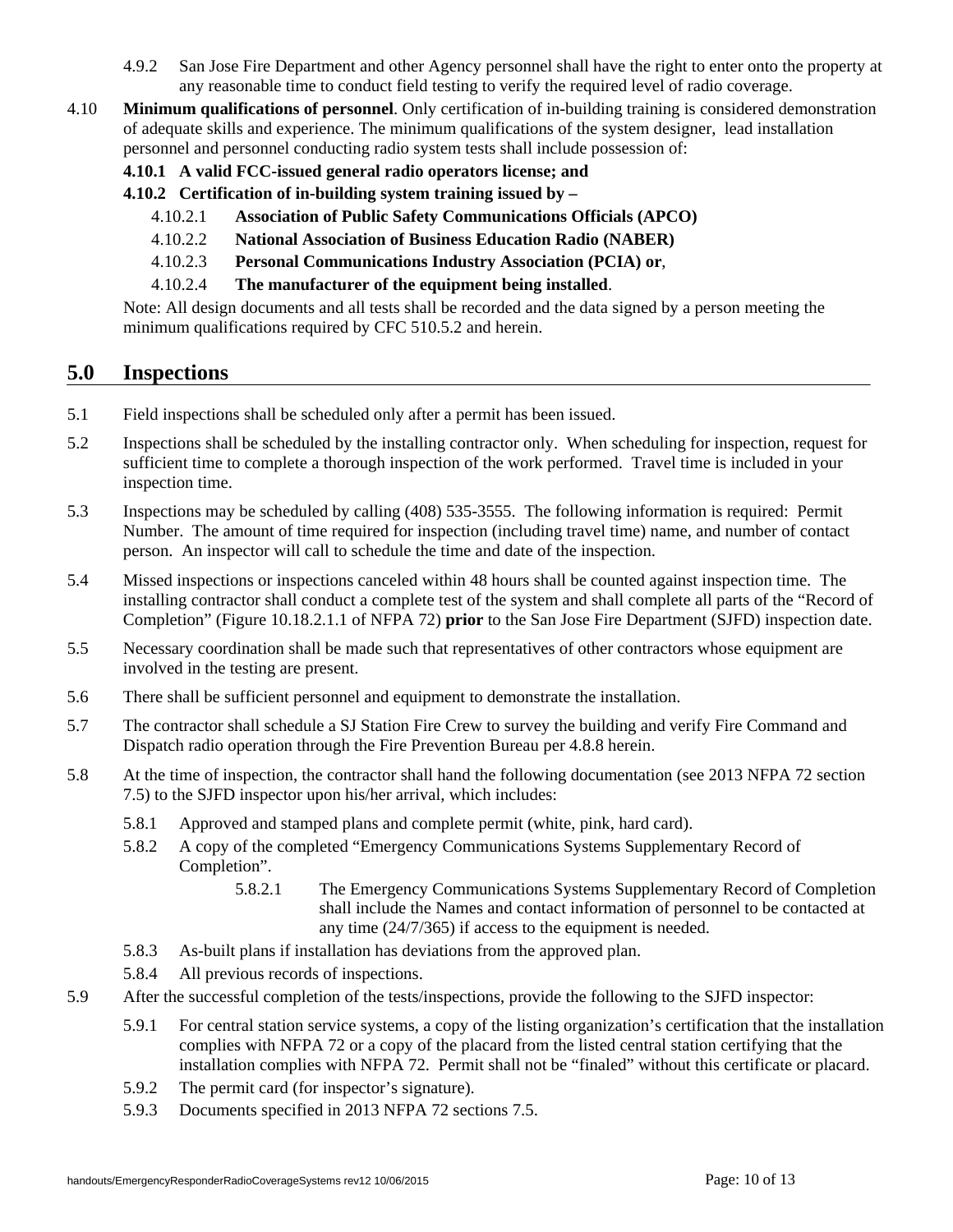- 4.9.2 San Jose Fire Department and other Agency personnel shall have the right to enter onto the property at any reasonable time to conduct field testing to verify the required level of radio coverage.
- 4.10 **Minimum qualifications of personnel**. Only certification of in-building training is considered demonstration of adequate skills and experience. The minimum qualifications of the system designer, lead installation personnel and personnel conducting radio system tests shall include possession of:
	- **4.10.1 A valid FCC-issued general radio operators license; and**
	- **4.10.2 Certification of in-building system training issued by** 
		- 4.10.2.1 **Association of Public Safety Communications Officials (APCO)**
		- 4.10.2.2 **National Association of Business Education Radio (NABER)**
		- 4.10.2.3 **Personal Communications Industry Association (PCIA) or**,
		- 4.10.2.4 **The manufacturer of the equipment being installed**.

Note: All design documents and all tests shall be recorded and the data signed by a person meeting the minimum qualifications required by CFC 510.5.2 and herein.

## **5.0 Inspections**

- 5.1 Field inspections shall be scheduled only after a permit has been issued.
- 5.2 Inspections shall be scheduled by the installing contractor only. When scheduling for inspection, request for sufficient time to complete a thorough inspection of the work performed. Travel time is included in your inspection time.
- 5.3 Inspections may be scheduled by calling (408) 535-3555. The following information is required: Permit Number. The amount of time required for inspection (including travel time) name, and number of contact person. An inspector will call to schedule the time and date of the inspection.
- 5.4 Missed inspections or inspections canceled within 48 hours shall be counted against inspection time. The installing contractor shall conduct a complete test of the system and shall complete all parts of the "Record of Completion" (Figure 10.18.2.1.1 of NFPA 72) **prior** to the San Jose Fire Department (SJFD) inspection date.
- 5.5 Necessary coordination shall be made such that representatives of other contractors whose equipment are involved in the testing are present.
- 5.6 There shall be sufficient personnel and equipment to demonstrate the installation.
- 5.7 The contractor shall schedule a SJ Station Fire Crew to survey the building and verify Fire Command and Dispatch radio operation through the Fire Prevention Bureau per 4.8.8 herein.
- 5.8 At the time of inspection, the contractor shall hand the following documentation (see 2013 NFPA 72 section 7.5) to the SJFD inspector upon his/her arrival, which includes:
	- 5.8.1 Approved and stamped plans and complete permit (white, pink, hard card).
	- 5.8.2 A copy of the completed "Emergency Communications Systems Supplementary Record of Completion".
		- 5.8.2.1 The Emergency Communications Systems Supplementary Record of Completion shall include the Names and contact information of personnel to be contacted at any time (24/7/365) if access to the equipment is needed.
	- 5.8.3 As-built plans if installation has deviations from the approved plan.
	- 5.8.4 All previous records of inspections.
- 5.9 After the successful completion of the tests/inspections, provide the following to the SJFD inspector:
	- 5.9.1 For central station service systems, a copy of the listing organization's certification that the installation complies with NFPA 72 or a copy of the placard from the listed central station certifying that the installation complies with NFPA 72. Permit shall not be "finaled" without this certificate or placard.
	- 5.9.2 The permit card (for inspector's signature).
	- 5.9.3 Documents specified in 2013 NFPA 72 sections 7.5.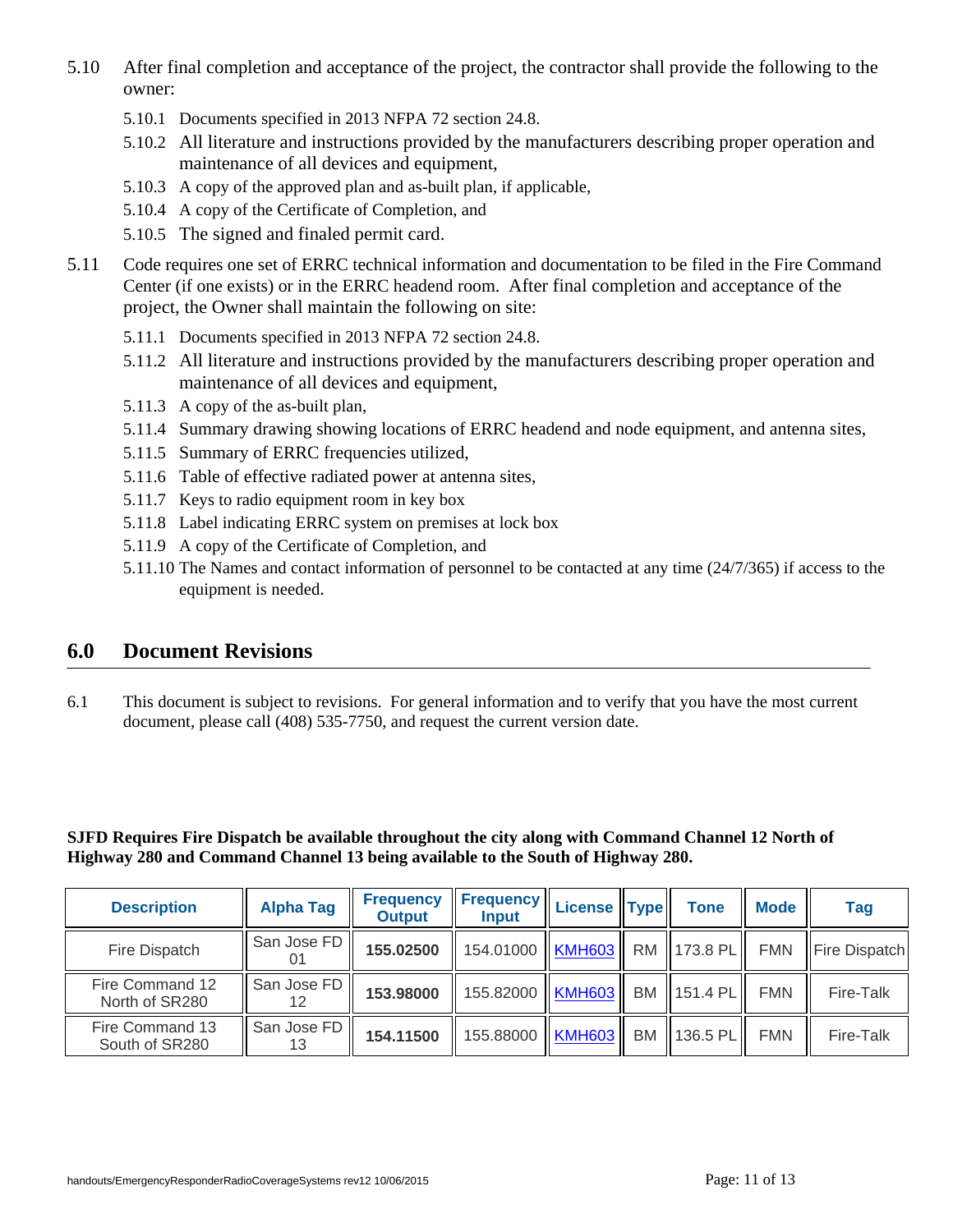- 5.10 After final completion and acceptance of the project, the contractor shall provide the following to the owner:
	- 5.10.1 Documents specified in 2013 NFPA 72 section 24.8.
	- 5.10.2 All literature and instructions provided by the manufacturers describing proper operation and maintenance of all devices and equipment,
	- 5.10.3 A copy of the approved plan and as-built plan, if applicable,
	- 5.10.4 A copy of the Certificate of Completion, and
	- 5.10.5 The signed and finaled permit card.
- 5.11 Code requires one set of ERRC technical information and documentation to be filed in the Fire Command Center (if one exists) or in the ERRC headend room. After final completion and acceptance of the project, the Owner shall maintain the following on site:
	- 5.11.1 Documents specified in 2013 NFPA 72 section 24.8.
	- 5.11.2 All literature and instructions provided by the manufacturers describing proper operation and maintenance of all devices and equipment,
	- 5.11.3 A copy of the as-built plan,
	- 5.11.4 Summary drawing showing locations of ERRC headend and node equipment, and antenna sites,
	- 5.11.5 Summary of ERRC frequencies utilized,
	- 5.11.6 Table of effective radiated power at antenna sites,
	- 5.11.7 Keys to radio equipment room in key box
	- 5.11.8 Label indicating ERRC system on premises at lock box
	- 5.11.9 A copy of the Certificate of Completion, and
	- 5.11.10 The Names and contact information of personnel to be contacted at any time (24/7/365) if access to the equipment is needed.

## **6.0 Document Revisions**

6.1 This document is subject to revisions. For general information and to verify that you have the most current document, please call (408) 535-7750, and request the current version date.

**SJFD Requires Fire Dispatch be available throughout the city along with Command Channel 12 North of Highway 280 and Command Channel 13 being available to the South of Highway 280.** 

| <b>Description</b>                | <b>Alpha Tag</b>  | <b>Frequency</b><br><b>Output</b> | $\ $ Frequency $\ $ License $\ $ Type $\ $<br><b>Input</b> |    | <b>Tone</b> | <b>Mode</b> | <b>Tag</b>    |
|-----------------------------------|-------------------|-----------------------------------|------------------------------------------------------------|----|-------------|-------------|---------------|
| Fire Dispatch                     | San Jose FD       | 155.02500                         | 154.01000   KMH603   RM   173.8 PL                         |    |             | <b>FMN</b>  | Fire Dispatch |
| Fire Command 12<br>North of SR280 | San Jose FD<br>12 | 153.98000                         | 155.82000   KMH603                                         |    | BM 151.4 PL | <b>FMN</b>  | Fire-Talk     |
| Fire Command 13<br>South of SR280 | San Jose FD<br>13 | 154.11500                         | 155.88000   KMH603                                         | BM | 136.5 PL    | <b>FMN</b>  | Fire-Talk     |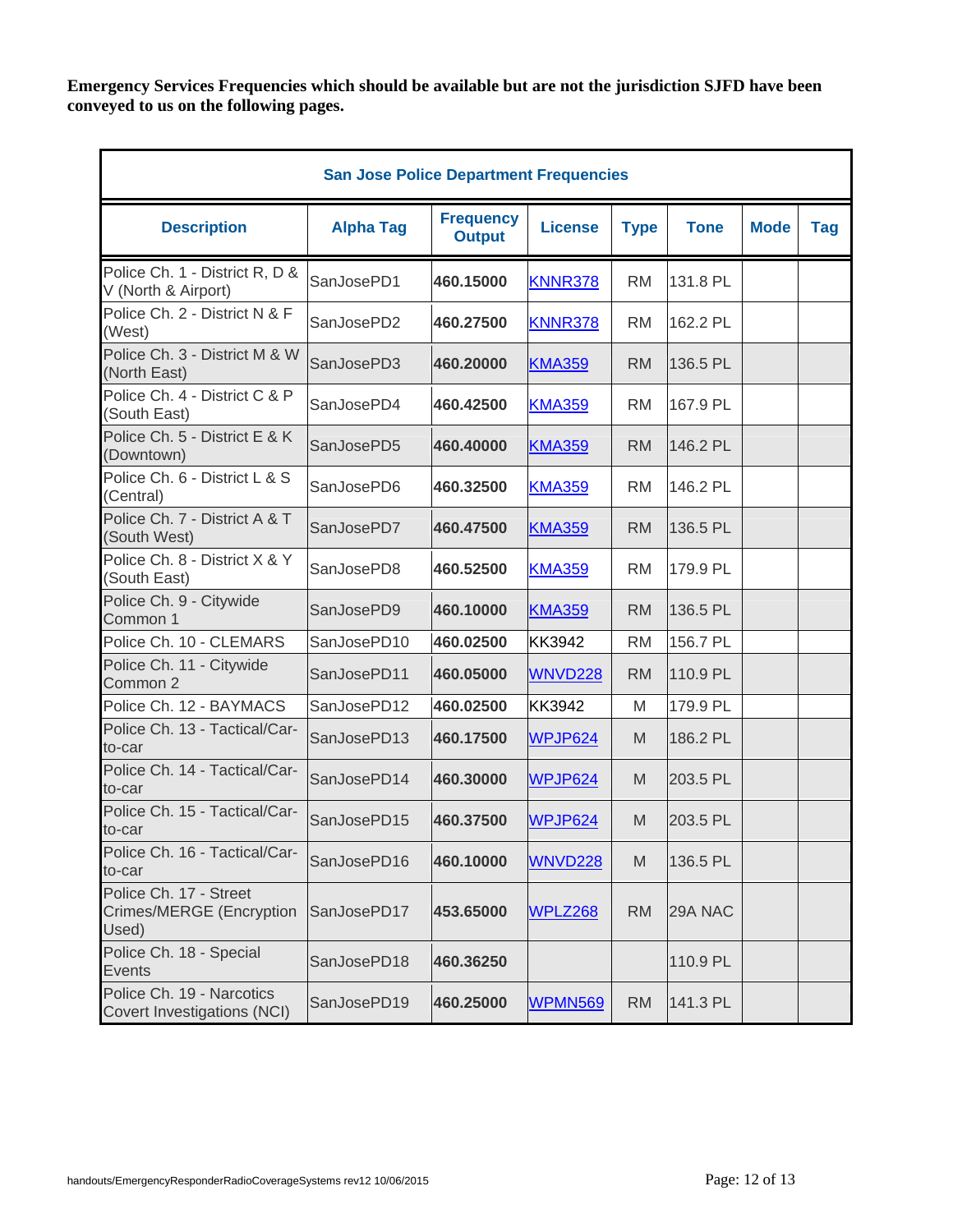**Emergency Services Frequencies which should be available but are not the jurisdiction SJFD have been conveyed to us on the following pages.** 

| <b>San Jose Police Department Frequencies</b>               |                  |                                   |                |             |             |             |            |  |  |
|-------------------------------------------------------------|------------------|-----------------------------------|----------------|-------------|-------------|-------------|------------|--|--|
| <b>Description</b>                                          | <b>Alpha Tag</b> | <b>Frequency</b><br><b>Output</b> | <b>License</b> | <b>Type</b> | <b>Tone</b> | <b>Mode</b> | <b>Tag</b> |  |  |
| Police Ch. 1 - District R, D &<br>V (North & Airport)       | SanJosePD1       | 460.15000                         | <b>KNNR378</b> | <b>RM</b>   | 131.8 PL    |             |            |  |  |
| Police Ch. 2 - District N & F<br>(West)                     | SanJosePD2       | 460.27500                         | <b>KNNR378</b> | <b>RM</b>   | 162.2 PL    |             |            |  |  |
| Police Ch. 3 - District M & W<br>(North East)               | SanJosePD3       | 460.20000                         | <b>KMA359</b>  | <b>RM</b>   | 136.5 PL    |             |            |  |  |
| Police Ch. 4 - District C & P<br>(South East)               | SanJosePD4       | 460.42500                         | <b>KMA359</b>  | <b>RM</b>   | 167.9 PL    |             |            |  |  |
| Police Ch. 5 - District E & K<br>(Downtown)                 | SanJosePD5       | 460.40000                         | <b>KMA359</b>  | <b>RM</b>   | 146.2 PL    |             |            |  |  |
| Police Ch. 6 - District L & S<br>(Central)                  | SanJosePD6       | 460.32500                         | <b>KMA359</b>  | <b>RM</b>   | 146.2 PL    |             |            |  |  |
| Police Ch. 7 - District A & T<br>(South West)               | SanJosePD7       | 460.47500                         | <b>KMA359</b>  | <b>RM</b>   | 136.5 PL    |             |            |  |  |
| Police Ch. 8 - District X & Y<br>(South East)               | SanJosePD8       | 460.52500                         | <b>KMA359</b>  | <b>RM</b>   | 179.9 PL    |             |            |  |  |
| Police Ch. 9 - Citywide<br>Common 1                         | SanJosePD9       | 460.10000                         | <b>KMA359</b>  | <b>RM</b>   | 136.5 PL    |             |            |  |  |
| Police Ch. 10 - CLEMARS                                     | SanJosePD10      | 460.02500                         | <b>KK3942</b>  | <b>RM</b>   | 156.7 PL    |             |            |  |  |
| Police Ch. 11 - Citywide<br>Common 2                        | SanJosePD11      | 460.05000                         | <b>WNVD228</b> | <b>RM</b>   | 110.9 PL    |             |            |  |  |
| Police Ch. 12 - BAYMACS                                     | SanJosePD12      | 460.02500                         | KK3942         | M           | 179.9 PL    |             |            |  |  |
| Police Ch. 13 - Tactical/Car-<br>to-car                     | SanJosePD13      | 460.17500                         | WPJP624        | M           | 186.2 PL    |             |            |  |  |
| Police Ch. 14 - Tactical/Car-<br>to-car                     | SanJosePD14      | 460.30000                         | WPJP624        | M           | 203.5 PL    |             |            |  |  |
| Police Ch. 15 - Tactical/Car-<br>to-car                     | SanJosePD15      | 460.37500                         | WPJP624        | M           | 203.5 PL    |             |            |  |  |
| Police Ch. 16 - Tactical/Car-<br>to-car                     | SanJosePD16      | 460.10000                         | <b>WNVD228</b> | M           | 136.5 PL    |             |            |  |  |
| Police Ch. 17 - Street<br>Crimes/MERGE (Encryption<br>Used) | SanJosePD17      | 453.65000                         | WPLZ268        | <b>RM</b>   | 29A NAC     |             |            |  |  |
| Police Ch. 18 - Special<br>Events                           | SanJosePD18      | 460.36250                         |                |             | 110.9 PL    |             |            |  |  |
| Police Ch. 19 - Narcotics<br>Covert Investigations (NCI)    | SanJosePD19      | 460.25000                         | <b>WPMN569</b> | <b>RM</b>   | 141.3 PL    |             |            |  |  |